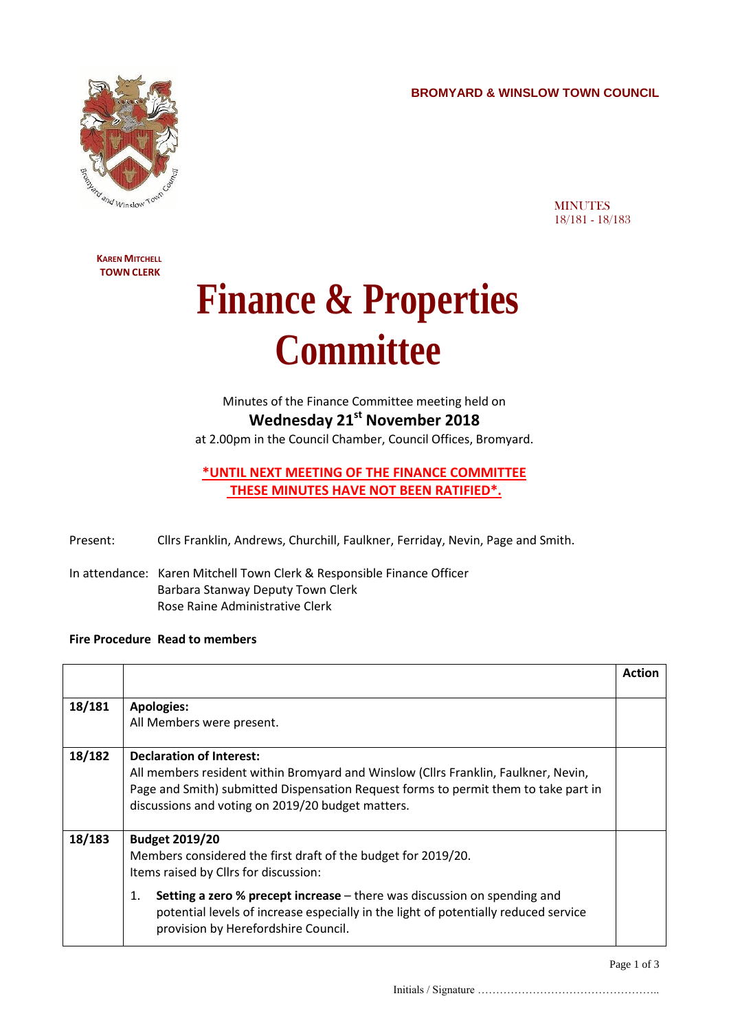**BROMYARD & WINSLOW TOWN COUNCIL**



**MINUTES** 18/181 - 18/183

**KAREN MITCHELL TOWN CLERK**

## **Finance & Properties Committee**

Minutes of the Finance Committee meeting held on **Wednesday 21st November 2018**

at 2.00pm in the Council Chamber, Council Offices, Bromyard.

## **\*UNTIL NEXT MEETING OF THE FINANCE COMMITTEE THESE MINUTES HAVE NOT BEEN RATIFIED\*.**

- Present: Cllrs Franklin, Andrews, Churchill, Faulkner, Ferriday, Nevin, Page and Smith.
- In attendance: Karen Mitchell Town Clerk & Responsible Finance Officer Barbara Stanway Deputy Town Clerk Rose Raine Administrative Clerk

## **Fire Procedure Read to members**

|        |                                                                                                                                                                                                                                                                                                                                                        | <b>Action</b> |
|--------|--------------------------------------------------------------------------------------------------------------------------------------------------------------------------------------------------------------------------------------------------------------------------------------------------------------------------------------------------------|---------------|
| 18/181 | <b>Apologies:</b><br>All Members were present.                                                                                                                                                                                                                                                                                                         |               |
| 18/182 | <b>Declaration of Interest:</b><br>All members resident within Bromyard and Winslow (Cllrs Franklin, Faulkner, Nevin,<br>Page and Smith) submitted Dispensation Request forms to permit them to take part in<br>discussions and voting on 2019/20 budget matters.                                                                                      |               |
| 18/183 | <b>Budget 2019/20</b><br>Members considered the first draft of the budget for 2019/20.<br>Items raised by Cllrs for discussion:<br><b>Setting a zero % precept increase</b> – there was discussion on spending and<br>1.<br>potential levels of increase especially in the light of potentially reduced service<br>provision by Herefordshire Council. |               |

Initials / Signature …………………………………………..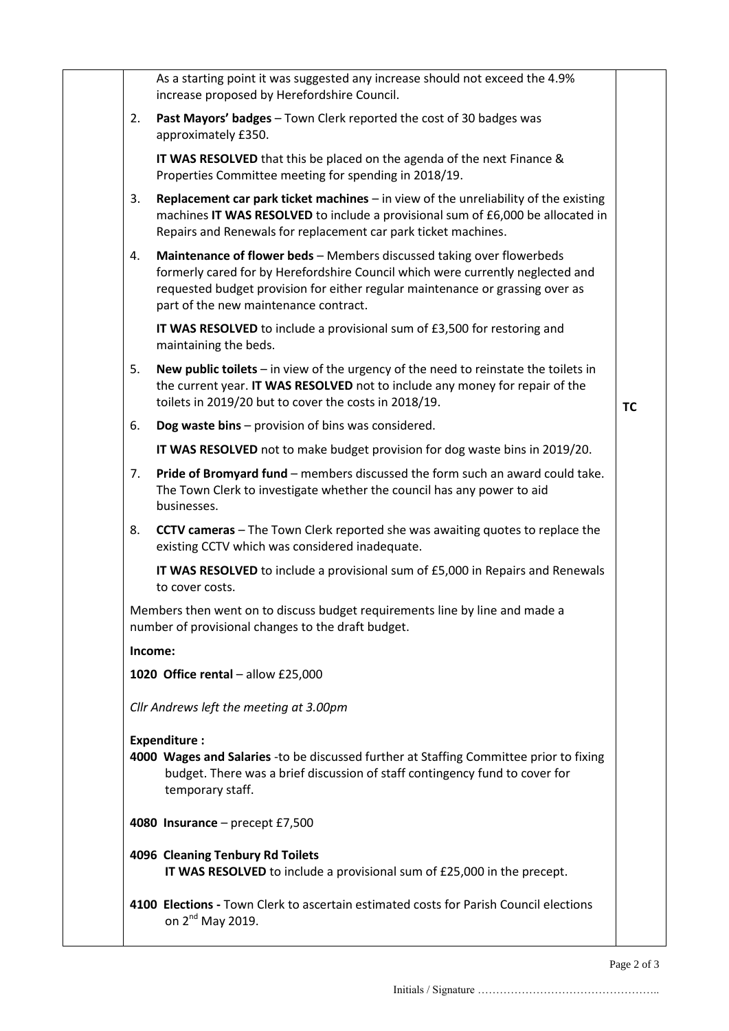|    | As a starting point it was suggested any increase should not exceed the 4.9%<br>increase proposed by Herefordshire Council.                                                                                                                                                       |           |
|----|-----------------------------------------------------------------------------------------------------------------------------------------------------------------------------------------------------------------------------------------------------------------------------------|-----------|
| 2. | Past Mayors' badges - Town Clerk reported the cost of 30 badges was<br>approximately £350.                                                                                                                                                                                        |           |
|    | IT WAS RESOLVED that this be placed on the agenda of the next Finance &<br>Properties Committee meeting for spending in 2018/19.                                                                                                                                                  |           |
| 3. | Replacement car park ticket machines $-$ in view of the unreliability of the existing<br>machines IT WAS RESOLVED to include a provisional sum of £6,000 be allocated in<br>Repairs and Renewals for replacement car park ticket machines.                                        |           |
| 4. | Maintenance of flower beds - Members discussed taking over flowerbeds<br>formerly cared for by Herefordshire Council which were currently neglected and<br>requested budget provision for either regular maintenance or grassing over as<br>part of the new maintenance contract. |           |
|    | IT WAS RESOLVED to include a provisional sum of £3,500 for restoring and<br>maintaining the beds.                                                                                                                                                                                 |           |
| 5. | New public toilets $-$ in view of the urgency of the need to reinstate the toilets in<br>the current year. IT WAS RESOLVED not to include any money for repair of the<br>toilets in 2019/20 but to cover the costs in 2018/19.                                                    | <b>TC</b> |
| 6. | Dog waste bins - provision of bins was considered.                                                                                                                                                                                                                                |           |
|    | IT WAS RESOLVED not to make budget provision for dog waste bins in 2019/20.                                                                                                                                                                                                       |           |
| 7. | Pride of Bromyard fund - members discussed the form such an award could take.<br>The Town Clerk to investigate whether the council has any power to aid<br>businesses.                                                                                                            |           |
| 8. | <b>CCTV cameras</b> - The Town Clerk reported she was awaiting quotes to replace the<br>existing CCTV which was considered inadequate.                                                                                                                                            |           |
|    | IT WAS RESOLVED to include a provisional sum of £5,000 in Repairs and Renewals<br>to cover costs.                                                                                                                                                                                 |           |
|    | Members then went on to discuss budget requirements line by line and made a<br>number of provisional changes to the draft budget.                                                                                                                                                 |           |
|    | Income:                                                                                                                                                                                                                                                                           |           |
|    | 1020 Office rental - allow £25,000                                                                                                                                                                                                                                                |           |
|    | Cllr Andrews left the meeting at 3.00pm                                                                                                                                                                                                                                           |           |
|    | <b>Expenditure:</b><br>4000 Wages and Salaries -to be discussed further at Staffing Committee prior to fixing<br>budget. There was a brief discussion of staff contingency fund to cover for<br>temporary staff.                                                                  |           |
|    | 4080 Insurance - precept $£7,500$                                                                                                                                                                                                                                                 |           |
|    | 4096 Cleaning Tenbury Rd Toilets<br>IT WAS RESOLVED to include a provisional sum of £25,000 in the precept.                                                                                                                                                                       |           |
|    | 4100 Elections - Town Clerk to ascertain estimated costs for Parish Council elections<br>on 2 <sup>nd</sup> May 2019.                                                                                                                                                             |           |
|    |                                                                                                                                                                                                                                                                                   |           |